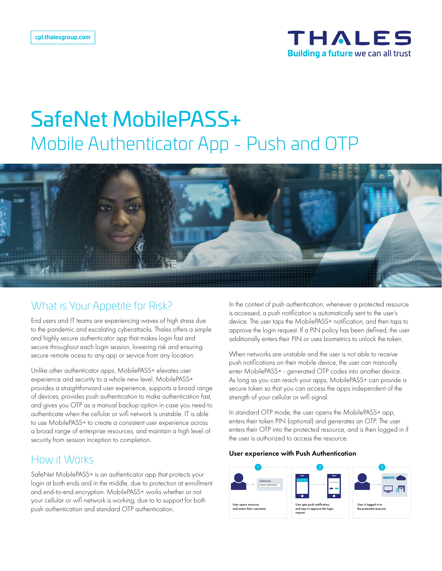

# SafeNet MobilePASS+ Mobile Authenticator App - Push and OTP



## What is Your Appetite for Risk?

End users and IT teams are experiencing waves of high stress due to the pandemic and escalating cyberattacks. Thales offers a simple and highly secure authenticator app that makes login fast and secure throughout each login session, lowering risk and ensuring secure remote acess to any app or service from any location.

Unlike other authenticator apps, MobilePASS+ elevates user experience and security to a whole new level. MobilePASS+ provides a straightforward user experience, supports a broad range of devices, provides push authentication to make authentication fast, and gives you OTP as a manual backup option in case you need to authenticate when the cellular or wifi network is unstable. IT is able to use MobilePASS+ to create a consistent user experience across a broad range of enterprise resources, and maintain a high level of security from session inception to completion.

### How it Works

SafeNet MobilePASS+ is an authenticator app that protects your login at both ends and in the middle, due to protection at enrollment and end-to-end encryption. MobilePASS+ works whether or not your cellular or wifi network is working, due to to support for both push authentication and standard OTP authentication.

In the context of push authentication, whenever a protected resource is accessed, a push notification is automatically sent to the user's device. The user taps the MobilePASS+ notification, and then taps to approve the login request. If a PIN policy has been defined, the user additionally enters their PIN or uses biometrics to unlock the token.

When networks are unstable and the user is not able to receive push notifications on their mobile device, the user can manually enter MobilePASS+ - generated OTP codes into another device. As long as you can reach your apps, MobilePASS+ can provide a secure token so that you can access the apps independent of the strength of your cellular or wifi signal.

In standard OTP mode, the user opens the MobilePASS+ app, enters their token PIN (optional) and generates an OTP. The user enters their OTP into the protected resource, and is then logged in if the user is authorized to access the resource.

#### User experience with Push Authentication